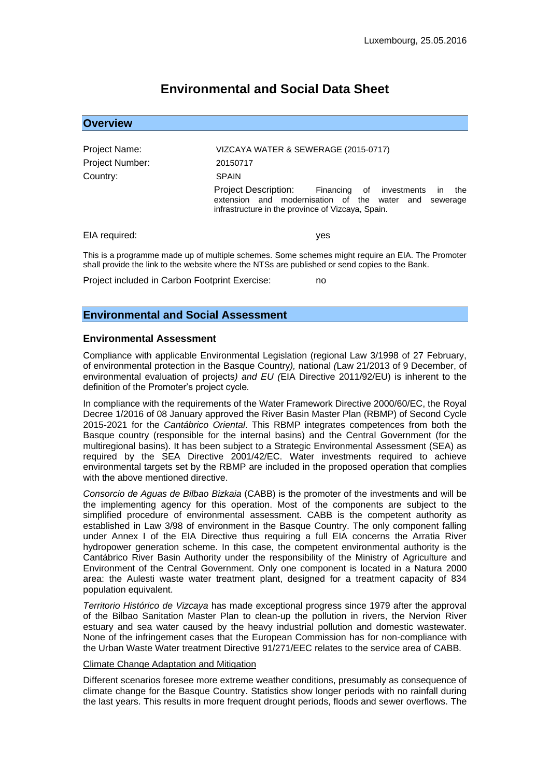# **Environmental and Social Data Sheet**

| <b>Overview</b>                                |                                                                                                                                                                                                    |
|------------------------------------------------|----------------------------------------------------------------------------------------------------------------------------------------------------------------------------------------------------|
|                                                |                                                                                                                                                                                                    |
| Project Name:                                  | VIZCAYA WATER & SEWERAGE (2015-0717)                                                                                                                                                               |
| Project Number:                                | 20150717                                                                                                                                                                                           |
| Country:                                       | <b>SPAIN</b>                                                                                                                                                                                       |
|                                                | Project Description: Financing of investments<br>the<br>$\mathsf{I}$<br>extension and modernisation of the water and sewerage<br>infrastructure in the province of Vizcaya, Spain.                 |
| EIA required:                                  | yes                                                                                                                                                                                                |
|                                                | This is a programme made up of multiple schemes. Some schemes might require an EIA. The Promoter<br>shall provide the link to the website where the NTSs are published or send copies to the Bank. |
| Project included in Carbon Footprint Exercise: | no                                                                                                                                                                                                 |

**Environmental and Social Assessment** 

### **Environmental Assessment**

Compliance with applicable Environmental Legislation (regional Law 3/1998 of 27 February, of environmental protection in the Basque Country*),* national *(*Law 21/2013 of 9 December, of environmental evaluation of projects*) and EU (*EIA Directive 2011/92/EU) is inherent to the definition of the Promoter's project cycle*.*

In compliance with the requirements of the Water Framework Directive 2000/60/EC, the Royal Decree 1/2016 of 08 January approved the River Basin Master Plan (RBMP) of Second Cycle 2015-2021 for the *Cantábrico Oriental*. This RBMP integrates competences from both the Basque country (responsible for the internal basins) and the Central Government (for the multiregional basins). It has been subject to a Strategic Environmental Assessment (SEA) as required by the SEA Directive 2001/42/EC. Water investments required to achieve environmental targets set by the RBMP are included in the proposed operation that complies with the above mentioned directive.

*Consorcio de Aguas de Bilbao Bizkaia* (CABB) is the promoter of the investments and will be the implementing agency for this operation. Most of the components are subject to the simplified procedure of environmental assessment. CABB is the competent authority as established in Law 3/98 of environment in the Basque Country. The only component falling under Annex I of the EIA Directive thus requiring a full EIA concerns the Arratia River hydropower generation scheme. In this case, the competent environmental authority is the Cantábrico River Basin Authority under the responsibility of the Ministry of Agriculture and Environment of the Central Government. Only one component is located in a Natura 2000 area: the Aulesti waste water treatment plant, designed for a treatment capacity of 834 population equivalent.

*Territorio Histórico de Vizcaya* has made exceptional progress since 1979 after the approval of the Bilbao Sanitation Master Plan to clean-up the pollution in rivers, the Nervion River estuary and sea water caused by the heavy industrial pollution and domestic wastewater. None of the infringement cases that the European Commission has for non-compliance with the Urban Waste Water treatment Directive 91/271/EEC relates to the service area of CABB.

#### Climate Change Adaptation and Mitigation

Different scenarios foresee more extreme weather conditions, presumably as consequence of climate change for the Basque Country. Statistics show longer periods with no rainfall during the last years. This results in more frequent drought periods, floods and sewer overflows. The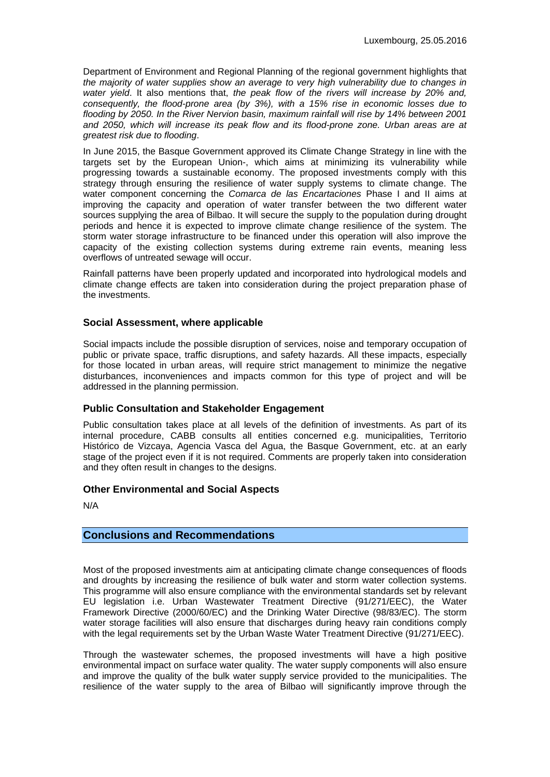Department of Environment and Regional Planning of the regional government highlights that *the majority of water supplies show an average to very high vulnerability due to changes in water yield*. It also mentions that, *the peak flow of the rivers will increase by 20% and, consequently, the flood-prone area (by 3%), with a 15% rise in economic losses due to flooding by 2050. In the River Nervion basin, maximum rainfall will rise by 14% between 2001 and 2050, which will increase its peak flow and its flood-prone zone. Urban areas are at greatest risk due to flooding*.

In June 2015, the Basque Government approved its Climate Change Strategy in line with the targets set by the European Union-, which aims at minimizing its vulnerability while progressing towards a sustainable economy. The proposed investments comply with this strategy through ensuring the resilience of water supply systems to climate change. The water component concerning the *Comarca de las Encartaciones* Phase I and II aims at improving the capacity and operation of water transfer between the two different water sources supplying the area of Bilbao. It will secure the supply to the population during drought periods and hence it is expected to improve climate change resilience of the system. The storm water storage infrastructure to be financed under this operation will also improve the capacity of the existing collection systems during extreme rain events, meaning less overflows of untreated sewage will occur.

Rainfall patterns have been properly updated and incorporated into hydrological models and climate change effects are taken into consideration during the project preparation phase of the investments.

### **Social Assessment, where applicable**

Social impacts include the possible disruption of services, noise and temporary occupation of public or private space, traffic disruptions, and safety hazards. All these impacts, especially for those located in urban areas, will require strict management to minimize the negative disturbances, inconveniences and impacts common for this type of project and will be addressed in the planning permission.

## **Public Consultation and Stakeholder Engagement**

Public consultation takes place at all levels of the definition of investments. As part of its internal procedure, CABB consults all entities concerned e.g. municipalities, Territorio Histórico de Vizcaya, Agencia Vasca del Agua, the Basque Government, etc. at an early stage of the project even if it is not required. Comments are properly taken into consideration and they often result in changes to the designs.

### **Other Environmental and Social Aspects**

N/A

## **Conclusions and Recommendations**

Most of the proposed investments aim at anticipating climate change consequences of floods and droughts by increasing the resilience of bulk water and storm water collection systems. This programme will also ensure compliance with the environmental standards set by relevant EU legislation i.e. Urban Wastewater Treatment Directive (91/271/EEC), the Water Framework Directive (2000/60/EC) and the Drinking Water Directive (98/83/EC). The storm water storage facilities will also ensure that discharges during heavy rain conditions comply with the legal requirements set by the Urban Waste Water Treatment Directive (91/271/EEC).

Through the wastewater schemes, the proposed investments will have a high positive environmental impact on surface water quality. The water supply components will also ensure and improve the quality of the bulk water supply service provided to the municipalities. The resilience of the water supply to the area of Bilbao will significantly improve through the